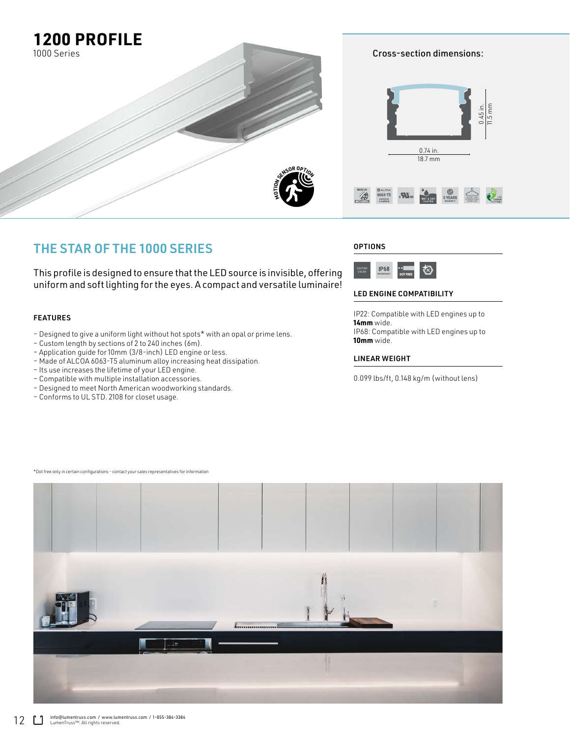

# THE STAR OF THE 1000 SERIES

This profile is designed to ensure that the LED source is invisible, offering uniform and soft lighting for the eyes. A compact and versatile luminaire!

## FEATURES

- Designed to give a uniform light without hot spots\* with an opal or prime lens.
- Custom length by sections of 2 to 240 inches (6m).
- Application guide for 10mm (3/8-inch) LED engine or less.
- Made of ALCOA 6063-T5 aluminum alloy increasing heat dissipation.
- Its use increases the lifetime of your LED engine.
- Compatible with multiple installation accessories.
- Designed to meet North American woodworking standards.
- Conforms to UL STD. 2108 for closet usage.

## **OPTIONS**



### LED ENGINE COMPATIBILITY

IP22: Compatible with LED engines up to **14mm** wide. IP68: Compatible with LED engines up to **10mm** wide.

### LINEAR WEIGHT

0.099 lbs/ft, 0.148 kg/m (without lens)

فل

\*Dot free only in certain configurations - contact your sales representatives for information